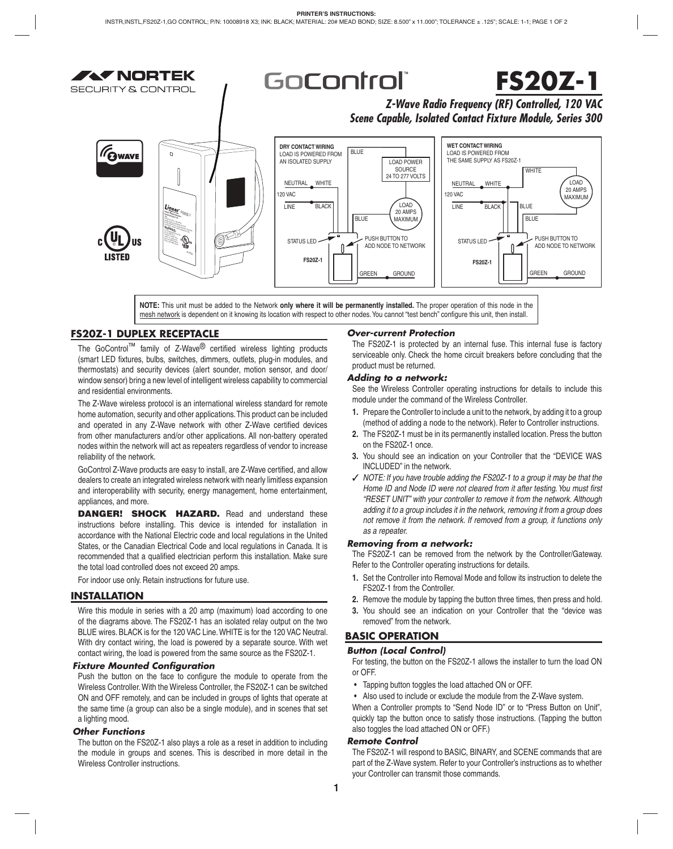**AV NORTEK** SECLIBITY & CONTROL

## GoControl

# **FS20Z-1**

*Z-Wave Radio Frequency (RF) Controlled, 120 VAC Scene Capable, Isolated Contact Fixture Module, Series 300*



**NOTE:** This unit must be added to the Network **only where it will be permanently installed.** The proper operation of this node in the mesh network is dependent on it knowing its location with respect to other nodes. You cannot "test bench" configure this unit, then install.

## **FS20Z-1 DUPLEX RECEPTACLE**

The GoControl<sup>™</sup> family of Z-Wave<sup>®</sup> certified wireless lighting products (smart LED fixtures, bulbs, switches, dimmers, outlets, plug-in modules, and thermostats) and security devices (alert sounder, motion sensor, and door/ window sensor) bring a new level of intelligent wireless capability to commercial and residential environments.

The Z-Wave wireless protocol is an international wireless standard for remote home automation, security and other applications. This product can be included and operated in any Z-Wave network with other Z-Wave certified devices from other manufacturers and/or other applications. All non-battery operated nodes within the network will act as repeaters regardless of vendor to increase reliability of the network.

GoControl Z-Wave products are easy to install, are Z-Wave certified, and allow dealers to create an integrated wireless network with nearly limitless expansion and interoperability with security, energy management, home entertainment, appliances, and more.

**DANGER! SHOCK HAZARD.** Read and understand these instructions before installing. This device is intended for installation in accordance with the National Electric code and local regulations in the United States, or the Canadian Electrical Code and local regulations in Canada. It is recommended that a qualified electrician perform this installation. Make sure the total load controlled does not exceed 20 amps.

For indoor use only. Retain instructions for future use.

#### **INSTALLATION**

Wire this module in series with a 20 amp (maximum) load according to one of the diagrams above. The FS20Z-1 has an isolated relay output on the two BLUE wires. BLACK is for the 120 VAC Line. WHITE is for the 120 VAC Neutral. With dry contact wiring, the load is powered by a separate source. With wet contact wiring, the load is powered from the same source as the FS20Z-1.

#### *Fixture Mounted Confi guration*

Push the button on the face to configure the module to operate from the Wireless Controller. With the Wireless Controller, the FS20Z-1 can be switched ON and OFF remotely, and can be included in groups of lights that operate at the same time (a group can also be a single module), and in scenes that set a lighting mood.

#### *Other Functions*

The button on the FS20Z-1 also plays a role as a reset in addition to including the module in groups and scenes. This is described in more detail in the Wireless Controller instructions.

#### *Over-current Protection*

The FS20Z-1 is protected by an internal fuse. This internal fuse is factory serviceable only. Check the home circuit breakers before concluding that the product must be returned.

#### *Adding to a network:*

See the Wireless Controller operating instructions for details to include this module under the command of the Wireless Controller.

- **1.** Prepare the Controller to include a unit to the network, by adding it to a group (method of adding a node to the network). Refer to Controller instructions.
- **2.** The FS20Z-1 must be in its permanently installed location. Press the button on the FS20Z-1 once.
- **3.** You should see an indication on your Controller that the "DEVICE WAS INCLUDED" in the network.
- ✓ *NOTE: If you have trouble adding the FS20Z-1 to a group it may be that the*  Home ID and Node ID were not cleared from it after testing. You must first *"RESET UNIT" with your controller to remove it from the network. Although adding it to a group includes it in the network, removing it from a group does not remove it from the network. If removed from a group, it functions only as a repeater.*

#### *Removing from a network:*

The FS20Z-1 can be removed from the network by the Controller/Gateway. Refer to the Controller operating instructions for details.

- **1.** Set the Controller into Removal Mode and follow its instruction to delete the FS20Z-1 from the Controller.
- **2.** Remove the module by tapping the button three times, then press and hold.
- **3.** You should see an indication on your Controller that the "device was removed" from the network.

## **BASIC OPERATION**

#### *Button (Local Control)*

For testing, the button on the FS20Z-1 allows the installer to turn the load ON or OFF.

- Tapping button toggles the load attached ON or OFF.
- Also used to include or exclude the module from the Z-Wave system.

When a Controller prompts to "Send Node ID" or to "Press Button on Unit", quickly tap the button once to satisfy those instructions. (Tapping the button also toggles the load attached ON or OFF.)

#### *Remote Control*

The FS20Z-1 will respond to BASIC, BINARY, and SCENE commands that are part of the Z-Wave system. Refer to your Controller's instructions as to whether your Controller can transmit those commands.